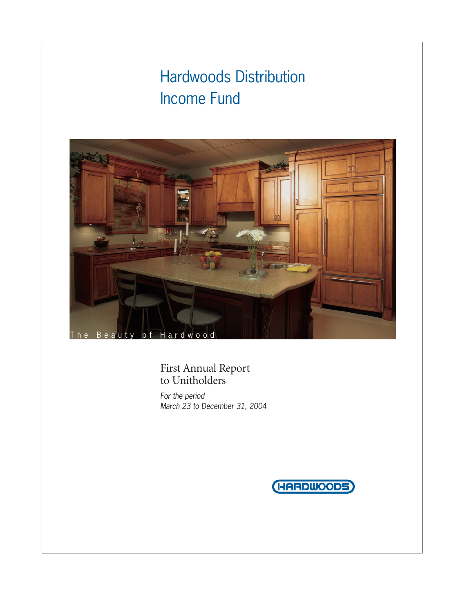# Hardwoods Distribution Income Fund



First Annual Report to Unitholders

*For the period March 23 to December 31, 2004*

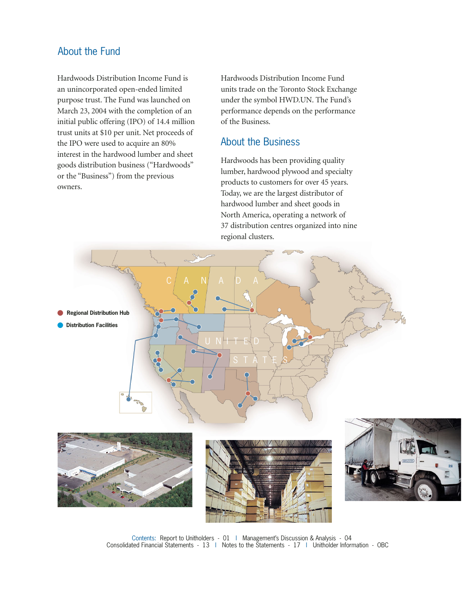## About the Fund

Hardwoods Distribution Income Fund is an unincorporated open-ended limited purpose trust. The Fund was launched on March 23, 2004 with the completion of an initial public offering (IPO) of 14.4 million trust units at \$10 per unit. Net proceeds of the IPO were used to acquire an 80% interest in the hardwood lumber and sheet goods distribution business ("Hardwoods" or the "Business") from the previous owners.

Hardwoods Distribution Income Fund units trade on the Toronto Stock Exchange under the symbol HWD.UN. The Fund's performance depends on the performance of the Business.

## About the Business

Hardwoods has been providing quality lumber, hardwood plywood and specialty products to customers for over 45 years. Today, we are the largest distributor of hardwood lumber and sheet goods in North America, operating a network of 37 distribution centres organized into nine regional clusters.



Contents: Report to Unitholders - 01 | Management's Discussion & Analysis - 04 Consolidated Financial Statements - 13 | Notes to the Statements - 17 | Unitholder Information - OBC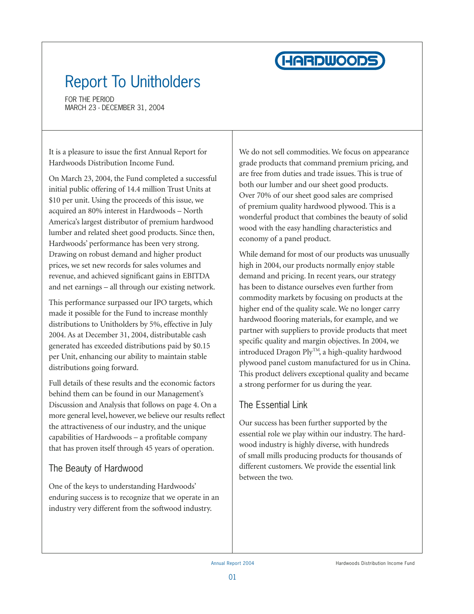

# Report To Unitholders

FOR THE PERIOD MARCH 23 - DECEMBER 31, 2004

It is a pleasure to issue the first Annual Report for Hardwoods Distribution Income Fund.

On March 23, 2004, the Fund completed a successful initial public offering of 14.4 million Trust Units at \$10 per unit. Using the proceeds of this issue, we acquired an 80% interest in Hardwoods – North America's largest distributor of premium hardwood lumber and related sheet good products. Since then, Hardwoods' performance has been very strong. Drawing on robust demand and higher product prices, we set new records for sales volumes and revenue, and achieved significant gains in EBITDA and net earnings – all through our existing network.

This performance surpassed our IPO targets, which made it possible for the Fund to increase monthly distributions to Unitholders by 5%, effective in July 2004. As at December 31, 2004, distributable cash generated has exceeded distributions paid by \$0.15 per Unit, enhancing our ability to maintain stable distributions going forward.

Full details of these results and the economic factors behind them can be found in our Management's Discussion and Analysis that follows on page 4. On a more general level, however, we believe our results reflect the attractiveness of our industry, and the unique capabilities of Hardwoods – a profitable company that has proven itself through 45 years of operation.

# The Beauty of Hardwood

One of the keys to understanding Hardwoods' enduring success is to recognize that we operate in an industry very different from the softwood industry.

We do not sell commodities. We focus on appearance grade products that command premium pricing, and are free from duties and trade issues. This is true of both our lumber and our sheet good products. Over 70% of our sheet good sales are comprised of premium quality hardwood plywood. This is a wonderful product that combines the beauty of solid wood with the easy handling characteristics and economy of a panel product.

While demand for most of our products was unusually high in 2004, our products normally enjoy stable demand and pricing. In recent years, our strategy has been to distance ourselves even further from commodity markets by focusing on products at the higher end of the quality scale. We no longer carry hardwood flooring materials, for example, and we partner with suppliers to provide products that meet specific quality and margin objectives. In 2004, we introduced Dragon Ply<sup>TM</sup>, a high-quality hardwood plywood panel custom manufactured for us in China. This product delivers exceptional quality and became a strong performer for us during the year.

# The Essential Link

Our success has been further supported by the essential role we play within our industry. The hardwood industry is highly diverse, with hundreds of small mills producing products for thousands of different customers. We provide the essential link between the two.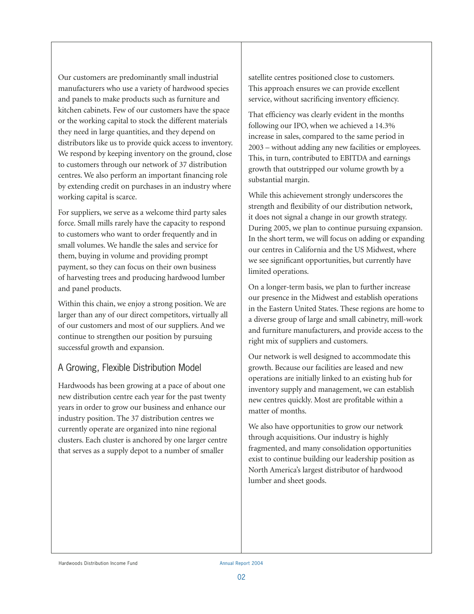Our customers are predominantly small industrial manufacturers who use a variety of hardwood species and panels to make products such as furniture and kitchen cabinets. Few of our customers have the space or the working capital to stock the different materials they need in large quantities, and they depend on distributors like us to provide quick access to inventory. We respond by keeping inventory on the ground, close to customers through our network of 37 distribution centres. We also perform an important financing role by extending credit on purchases in an industry where working capital is scarce.

For suppliers, we serve as a welcome third party sales force. Small mills rarely have the capacity to respond to customers who want to order frequently and in small volumes. We handle the sales and service for them, buying in volume and providing prompt payment, so they can focus on their own business of harvesting trees and producing hardwood lumber and panel products.

Within this chain, we enjoy a strong position. We are larger than any of our direct competitors, virtually all of our customers and most of our suppliers. And we continue to strengthen our position by pursuing successful growth and expansion.

# A Growing, Flexible Distribution Model

Hardwoods has been growing at a pace of about one new distribution centre each year for the past twenty years in order to grow our business and enhance our industry position. The 37 distribution centres we currently operate are organized into nine regional clusters. Each cluster is anchored by one larger centre that serves as a supply depot to a number of smaller

satellite centres positioned close to customers. This approach ensures we can provide excellent service, without sacrificing inventory efficiency.

That efficiency was clearly evident in the months following our IPO, when we achieved a 14.3% increase in sales, compared to the same period in 2003 – without adding any new facilities or employees. This, in turn, contributed to EBITDA and earnings growth that outstripped our volume growth by a substantial margin.

While this achievement strongly underscores the strength and flexibility of our distribution network, it does not signal a change in our growth strategy. During 2005, we plan to continue pursuing expansion. In the short term, we will focus on adding or expanding our centres in California and the US Midwest, where we see significant opportunities, but currently have limited operations.

On a longer-term basis, we plan to further increase our presence in the Midwest and establish operations in the Eastern United States. These regions are home to a diverse group of large and small cabinetry, mill-work and furniture manufacturers, and provide access to the right mix of suppliers and customers.

Our network is well designed to accommodate this growth. Because our facilities are leased and new operations are initially linked to an existing hub for inventory supply and management, we can establish new centres quickly. Most are profitable within a matter of months.

We also have opportunities to grow our network through acquisitions. Our industry is highly fragmented, and many consolidation opportunities exist to continue building our leadership position as North America's largest distributor of hardwood lumber and sheet goods.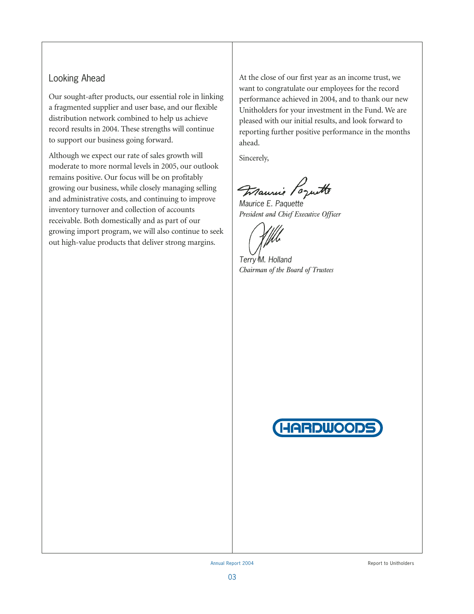### Looking Ahead

Our sought-after products, our essential role in linking a fragmented supplier and user base, and our flexible distribution network combined to help us achieve record results in 2004. These strengths will continue to support our business going forward.

Although we expect our rate of sales growth will moderate to more normal levels in 2005, our outlook remains positive. Our focus will be on profitably growing our business, while closely managing selling and administrative costs, and continuing to improve inventory turnover and collection of accounts receivable. Both domestically and as part of our growing import program, we will also continue to seek out high-value products that deliver strong margins.

At the close of our first year as an income trust, we want to congratulate our employees for the record performance achieved in 2004, and to thank our new Unitholders for your investment in the Fund. We are pleased with our initial results, and look forward to reporting further positive performance in the months ahead.

Sincerely,

Maurie Poquette

*Maurice E. Paquette President and Chief Executive Officer*

*Terry M. Holland Chairman of the Board of Trustees*

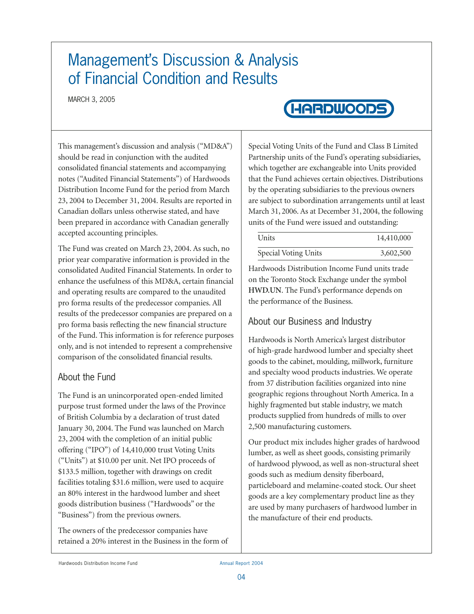# Management's Discussion & Analysis of Financial Condition and Results

MARCH 3, 2005

# **HARDWOODS**

This management's discussion and analysis ("MD&A") should be read in conjunction with the audited consolidated financial statements and accompanying notes ("Audited Financial Statements") of Hardwoods Distribution Income Fund for the period from March 23, 2004 to December 31, 2004. Results are reported in Canadian dollars unless otherwise stated, and have been prepared in accordance with Canadian generally accepted accounting principles.

The Fund was created on March 23, 2004. As such, no prior year comparative information is provided in the consolidated Audited Financial Statements. In order to enhance the usefulness of this MD&A, certain financial and operating results are compared to the unaudited pro forma results of the predecessor companies. All results of the predecessor companies are prepared on a pro forma basis reflecting the new financial structure of the Fund. This information is for reference purposes only, and is not intended to represent a comprehensive comparison of the consolidated financial results.

# About the Fund

The Fund is an unincorporated open-ended limited purpose trust formed under the laws of the Province of British Columbia by a declaration of trust dated January 30, 2004. The Fund was launched on March 23, 2004 with the completion of an initial public offering ("IPO") of 14,410,000 trust Voting Units ("Units") at \$10.00 per unit. Net IPO proceeds of \$133.5 million, together with drawings on credit facilities totaling \$31.6 million, were used to acquire an 80% interest in the hardwood lumber and sheet goods distribution business ("Hardwoods" or the "Business") from the previous owners.

The owners of the predecessor companies have retained a 20% interest in the Business in the form of

Special Voting Units of the Fund and Class B Limited Partnership units of the Fund's operating subsidiaries, which together are exchangeable into Units provided that the Fund achieves certain objectives. Distributions by the operating subsidiaries to the previous owners are subject to subordination arrangements until at least March 31, 2006. As at December 31, 2004, the following units of the Fund were issued and outstanding:

| Units                | 14,410,000 |
|----------------------|------------|
| Special Voting Units | 3,602,500  |

Hardwoods Distribution Income Fund units trade on the Toronto Stock Exchange under the symbol **HWD.UN**. The Fund's performance depends on the performance of the Business.

# About our Business and Industry

Hardwoods is North America's largest distributor of high-grade hardwood lumber and specialty sheet goods to the cabinet, moulding, millwork, furniture and specialty wood products industries. We operate from 37 distribution facilities organized into nine geographic regions throughout North America. In a highly fragmented but stable industry, we match products supplied from hundreds of mills to over 2,500 manufacturing customers.

Our product mix includes higher grades of hardwood lumber, as well as sheet goods, consisting primarily of hardwood plywood, as well as non-structural sheet goods such as medium density fiberboard, particleboard and melamine-coated stock. Our sheet goods are a key complementary product line as they are used by many purchasers of hardwood lumber in the manufacture of their end products.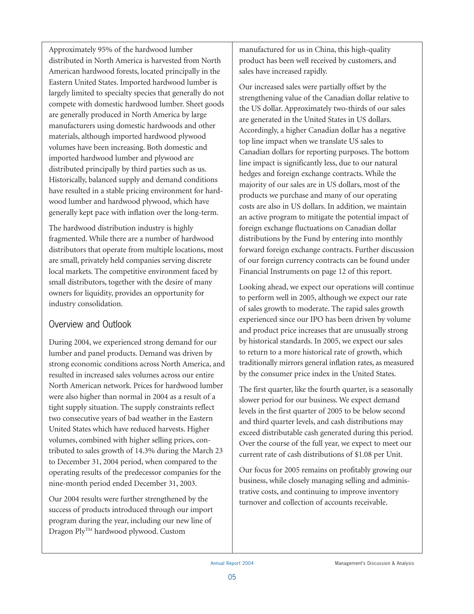Approximately 95% of the hardwood lumber distributed in North America is harvested from North American hardwood forests, located principally in the Eastern United States. Imported hardwood lumber is largely limited to specialty species that generally do not compete with domestic hardwood lumber. Sheet goods are generally produced in North America by large manufacturers using domestic hardwoods and other materials, although imported hardwood plywood volumes have been increasing. Both domestic and imported hardwood lumber and plywood are distributed principally by third parties such as us. Historically, balanced supply and demand conditions have resulted in a stable pricing environment for hardwood lumber and hardwood plywood, which have generally kept pace with inflation over the long-term.

The hardwood distribution industry is highly fragmented. While there are a number of hardwood distributors that operate from multiple locations, most are small, privately held companies serving discrete local markets. The competitive environment faced by small distributors, together with the desire of many owners for liquidity, provides an opportunity for industry consolidation.

# Overview and Outlook

During 2004, we experienced strong demand for our lumber and panel products. Demand was driven by strong economic conditions across North America, and resulted in increased sales volumes across our entire North American network. Prices for hardwood lumber were also higher than normal in 2004 as a result of a tight supply situation. The supply constraints reflect two consecutive years of bad weather in the Eastern United States which have reduced harvests. Higher volumes, combined with higher selling prices, contributed to sales growth of 14.3% during the March 23 to December 31, 2004 period, when compared to the operating results of the predecessor companies for the nine-month period ended December 31, 2003.

Our 2004 results were further strengthened by the success of products introduced through our import program during the year, including our new line of Dragon Ply™ hardwood plywood. Custom

manufactured for us in China, this high-quality product has been well received by customers, and sales have increased rapidly.

Our increased sales were partially offset by the strengthening value of the Canadian dollar relative to the US dollar. Approximately two-thirds of our sales are generated in the United States in US dollars. Accordingly, a higher Canadian dollar has a negative top line impact when we translate US sales to Canadian dollars for reporting purposes. The bottom line impact is significantly less, due to our natural hedges and foreign exchange contracts. While the majority of our sales are in US dollars, most of the products we purchase and many of our operating costs are also in US dollars. In addition, we maintain an active program to mitigate the potential impact of foreign exchange fluctuations on Canadian dollar distributions by the Fund by entering into monthly forward foreign exchange contracts. Further discussion of our foreign currency contracts can be found under Financial Instruments on page 12 of this report.

Looking ahead, we expect our operations will continue to perform well in 2005, although we expect our rate of sales growth to moderate. The rapid sales growth experienced since our IPO has been driven by volume and product price increases that are unusually strong by historical standards. In 2005, we expect our sales to return to a more historical rate of growth, which traditionally mirrors general inflation rates, as measured by the consumer price index in the United States.

The first quarter, like the fourth quarter, is a seasonally slower period for our business. We expect demand levels in the first quarter of 2005 to be below second and third quarter levels, and cash distributions may exceed distributable cash generated during this period. Over the course of the full year, we expect to meet our current rate of cash distributions of \$1.08 per Unit.

Our focus for 2005 remains on profitably growing our business, while closely managing selling and administrative costs, and continuing to improve inventory turnover and collection of accounts receivable.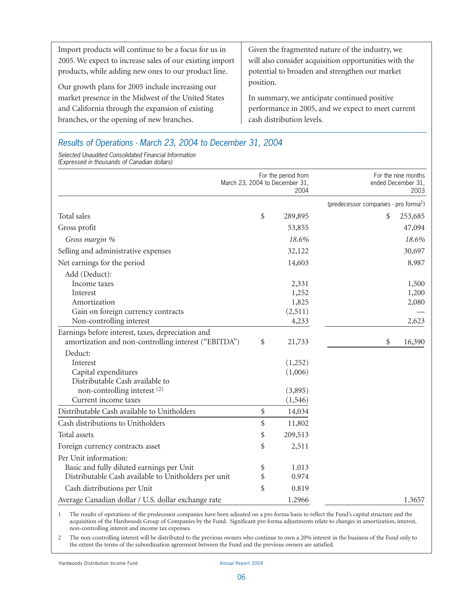| Import products will continue to be a focus for us in    | Given the fragmented nature of the industry, we       |
|----------------------------------------------------------|-------------------------------------------------------|
| 2005. We expect to increase sales of our existing import | will also consider acquisition opportunities with the |
| products, while adding new ones to our product line.     | potential to broaden and strengthen our market        |
| Our growth plans for 2005 include increasing our         | position.                                             |
| market presence in the Midwest of the United States      | In summary, we anticipate continued positive          |
| and California through the expansion of existing         | performance in 2005, and we expect to meet current    |
| branches, or the opening of new branches.                | cash distribution levels.                             |

## *Results of Operations - March 23, 2004 to December 31, 2004*

*Selected Unaudited Consolidated Financial Information (Expressed in thousands of Canadian dollars)*

|                                                      | March 23, 2004 to December 31, | For the period from<br>2004 | For the nine months<br>ended December 31,<br>2003 |
|------------------------------------------------------|--------------------------------|-----------------------------|---------------------------------------------------|
|                                                      |                                |                             | (predecessor companies - pro forma <sup>1</sup> ) |
| Total sales                                          | \$                             | 289,895                     | \$<br>253,685                                     |
| Gross profit                                         |                                | 53,855                      | 47,094                                            |
| Gross margin %                                       |                                | 18.6%                       | 18.6%                                             |
| Selling and administrative expenses                  |                                | 32,122                      | 30,697                                            |
| Net earnings for the period                          |                                | 14,603                      | 8,987                                             |
| Add (Deduct):                                        |                                |                             |                                                   |
| Income taxes                                         |                                | 2,331                       | 1,500                                             |
| Interest                                             |                                | 1,252                       | 1,200                                             |
| Amortization                                         |                                | 1,825                       | 2,080                                             |
| Gain on foreign currency contracts                   |                                | (2,511)                     |                                                   |
| Non-controlling interest                             |                                | 4,233                       | 2,623                                             |
| Earnings before interest, taxes, depreciation and    |                                |                             |                                                   |
| amortization and non-controlling interest ("EBITDA") | \$                             | 21,733                      | \$<br>16,390                                      |
| Deduct:                                              |                                |                             |                                                   |
| Interest                                             |                                | (1,252)                     |                                                   |
| Capital expenditures                                 |                                | (1,006)                     |                                                   |
| Distributable Cash available to                      |                                |                             |                                                   |
| non-controlling interest (2)                         |                                | (3,895)                     |                                                   |
| Current income taxes                                 |                                | (1, 546)                    |                                                   |
| Distributable Cash available to Unitholders          | \$                             | 14,034                      |                                                   |
| Cash distributions to Unitholders                    | \$                             | 11,802                      |                                                   |
| Total assets                                         | \$                             | 209,513                     |                                                   |
| Foreign currency contracts asset                     | \$                             | 2,511                       |                                                   |
| Per Unit information:                                |                                |                             |                                                   |
| Basic and fully diluted earnings per Unit            | \$                             | 1.013                       |                                                   |
| Distributable Cash available to Unitholders per unit | \$                             | 0.974                       |                                                   |
| Cash distributions per Unit                          | \$                             | 0.819                       |                                                   |
| Average Canadian dollar / U.S. dollar exchange rate  |                                | 1.2966                      | 1.3657                                            |

1 The results of operations of the predecessor companies have been adjusted on a pro forma basis to reflect the Fund's capital structure and the acquisition of the Hardwoods Group of Companies by the Fund. Significant pro forma adjustments relate to changes in amortization, interest, non-controlling interest and income tax expenses.

2 The non-controlling interest will be distributed to the previous owners who continue to own a 20% interest in the business of the Fund only to the extent the terms of the subordination agreement between the Fund and the previous owners are satisfied.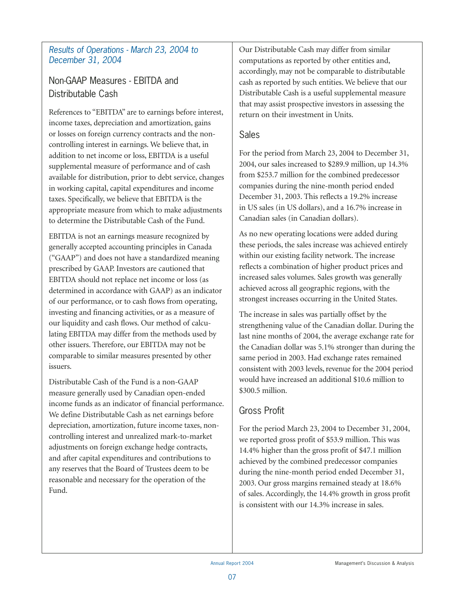### *Results of Operations - March 23, 2004 to December 31, 2004*

# Non-GAAP Measures - EBITDA and Distributable Cash

References to "EBITDA" are to earnings before interest, income taxes, depreciation and amortization, gains or losses on foreign currency contracts and the noncontrolling interest in earnings. We believe that, in addition to net income or loss, EBITDA is a useful supplemental measure of performance and of cash available for distribution, prior to debt service, changes in working capital, capital expenditures and income taxes. Specifically, we believe that EBITDA is the appropriate measure from which to make adjustments to determine the Distributable Cash of the Fund.

EBITDA is not an earnings measure recognized by generally accepted accounting principles in Canada ("GAAP") and does not have a standardized meaning prescribed by GAAP. Investors are cautioned that EBITDA should not replace net income or loss (as determined in accordance with GAAP) as an indicator of our performance, or to cash flows from operating, investing and financing activities, or as a measure of our liquidity and cash flows. Our method of calculating EBITDA may differ from the methods used by other issuers. Therefore, our EBITDA may not be comparable to similar measures presented by other issuers.

Distributable Cash of the Fund is a non-GAAP measure generally used by Canadian open-ended income funds as an indicator of financial performance. We define Distributable Cash as net earnings before depreciation, amortization, future income taxes, noncontrolling interest and unrealized mark-to-market adjustments on foreign exchange hedge contracts, and after capital expenditures and contributions to any reserves that the Board of Trustees deem to be reasonable and necessary for the operation of the Fund.

Our Distributable Cash may differ from similar computations as reported by other entities and, accordingly, may not be comparable to distributable cash as reported by such entities. We believe that our Distributable Cash is a useful supplemental measure that may assist prospective investors in assessing the return on their investment in Units.

### Sales

For the period from March 23, 2004 to December 31, 2004, our sales increased to \$289.9 million, up 14.3% from \$253.7 million for the combined predecessor companies during the nine-month period ended December 31, 2003. This reflects a 19.2% increase in US sales (in US dollars), and a 16.7% increase in Canadian sales (in Canadian dollars).

As no new operating locations were added during these periods, the sales increase was achieved entirely within our existing facility network. The increase reflects a combination of higher product prices and increased sales volumes. Sales growth was generally achieved across all geographic regions, with the strongest increases occurring in the United States.

The increase in sales was partially offset by the strengthening value of the Canadian dollar. During the last nine months of 2004, the average exchange rate for the Canadian dollar was 5.1% stronger than during the same period in 2003. Had exchange rates remained consistent with 2003 levels, revenue for the 2004 period would have increased an additional \$10.6 million to \$300.5 million.

# Gross Profit

For the period March 23, 2004 to December 31, 2004, we reported gross profit of \$53.9 million. This was 14.4% higher than the gross profit of \$47.1 million achieved by the combined predecessor companies during the nine-month period ended December 31, 2003. Our gross margins remained steady at 18.6% of sales. Accordingly, the 14.4% growth in gross profit is consistent with our 14.3% increase in sales.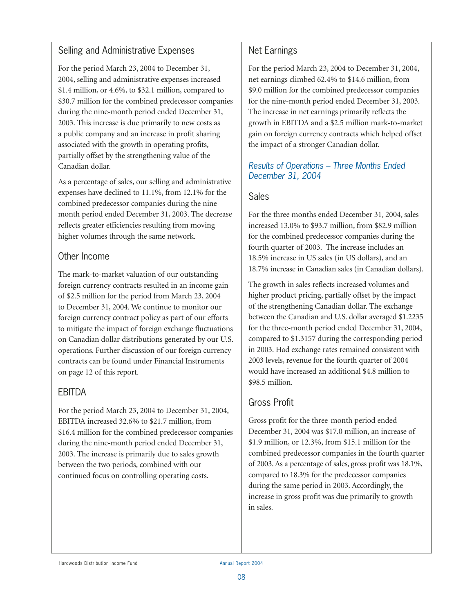### Selling and Administrative Expenses

For the period March 23, 2004 to December 31, 2004, selling and administrative expenses increased \$1.4 million, or 4.6%, to \$32.1 million, compared to \$30.7 million for the combined predecessor companies during the nine-month period ended December 31, 2003. This increase is due primarily to new costs as a public company and an increase in profit sharing associated with the growth in operating profits, partially offset by the strengthening value of the Canadian dollar.

As a percentage of sales, our selling and administrative expenses have declined to 11.1%, from 12.1% for the combined predecessor companies during the ninemonth period ended December 31, 2003. The decrease reflects greater efficiencies resulting from moving higher volumes through the same network.

### Other Income

The mark-to-market valuation of our outstanding foreign currency contracts resulted in an income gain of \$2.5 million for the period from March 23, 2004 to December 31, 2004. We continue to monitor our foreign currency contract policy as part of our efforts to mitigate the impact of foreign exchange fluctuations on Canadian dollar distributions generated by our U.S. operations. Further discussion of our foreign currency contracts can be found under Financial Instruments on page 12 of this report.

# EBITDA

For the period March 23, 2004 to December 31, 2004, EBITDA increased 32.6% to \$21.7 million, from \$16.4 million for the combined predecessor companies during the nine-month period ended December 31, 2003. The increase is primarily due to sales growth between the two periods, combined with our continued focus on controlling operating costs.

## Net Earnings

For the period March 23, 2004 to December 31, 2004, net earnings climbed 62.4% to \$14.6 million, from \$9.0 million for the combined predecessor companies for the nine-month period ended December 31, 2003. The increase in net earnings primarily reflects the growth in EBITDA and a \$2.5 million mark-to-market gain on foreign currency contracts which helped offset the impact of a stronger Canadian dollar.

### *Results of Operations – Three Months Ended December 31, 2004*

## Sales

For the three months ended December 31, 2004, sales increased 13.0% to \$93.7 million, from \$82.9 million for the combined predecessor companies during the fourth quarter of 2003. The increase includes an 18.5% increase in US sales (in US dollars), and an 18.7% increase in Canadian sales (in Canadian dollars).

The growth in sales reflects increased volumes and higher product pricing, partially offset by the impact of the strengthening Canadian dollar. The exchange between the Canadian and U.S. dollar averaged \$1.2235 for the three-month period ended December 31, 2004, compared to \$1.3157 during the corresponding period in 2003. Had exchange rates remained consistent with 2003 levels, revenue for the fourth quarter of 2004 would have increased an additional \$4.8 million to \$98.5 million.

# Gross Profit

Gross profit for the three-month period ended December 31, 2004 was \$17.0 million, an increase of \$1.9 million, or 12.3%, from \$15.1 million for the combined predecessor companies in the fourth quarter of 2003. As a percentage of sales, gross profit was 18.1%, compared to 18.3% for the predecessor companies during the same period in 2003. Accordingly, the increase in gross profit was due primarily to growth in sales.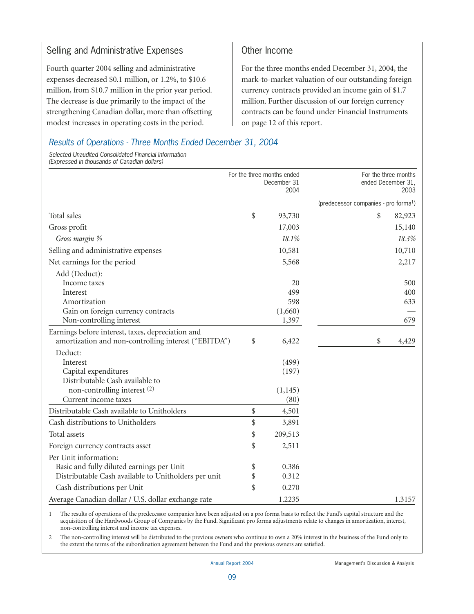### Selling and Administrative Expenses

Fourth quarter 2004 selling and administrative expenses decreased \$0.1 million, or 1.2%, to \$10.6 million, from \$10.7 million in the prior year period. The decrease is due primarily to the impact of the strengthening Canadian dollar, more than offsetting modest increases in operating costs in the period.

### Other Income

For the three months ended December 31, 2004, the mark-to-market valuation of our outstanding foreign currency contracts provided an income gain of \$1.7 million. Further discussion of our foreign currency contracts can be found under Financial Instruments on page 12 of this report.

*Results of Operations - Three Months Ended December 31, 2004*

*Selected Unaudited Consolidated Financial Information (Expressed in thousands of Canadian dollars)*

| For the three months ended                           |    | December 31<br>2004 | For the three months<br>ended December 31,<br>2003 |
|------------------------------------------------------|----|---------------------|----------------------------------------------------|
|                                                      |    |                     | (predecessor companies - pro forma <sup>1</sup> )  |
| Total sales                                          | \$ | 93,730              | \$<br>82,923                                       |
| Gross profit                                         |    | 17,003              | 15,140                                             |
| Gross margin %                                       |    | 18.1%               | 18.3%                                              |
| Selling and administrative expenses                  |    | 10,581              | 10,710                                             |
| Net earnings for the period                          |    | 5,568               | 2,217                                              |
| Add (Deduct):                                        |    |                     |                                                    |
| Income taxes                                         |    | 20                  | 500                                                |
| Interest                                             |    | 499                 | 400                                                |
| Amortization                                         |    | 598                 | 633                                                |
| Gain on foreign currency contracts                   |    | (1,660)             |                                                    |
| Non-controlling interest                             |    | 1,397               | 679                                                |
| Earnings before interest, taxes, depreciation and    |    |                     |                                                    |
| amortization and non-controlling interest ("EBITDA") | \$ | 6,422               | \$<br>4,429                                        |
| Deduct:                                              |    |                     |                                                    |
| Interest                                             |    | (499)               |                                                    |
| Capital expenditures                                 |    | (197)               |                                                    |
| Distributable Cash available to                      |    |                     |                                                    |
| non-controlling interest (2)                         |    | (1, 145)            |                                                    |
| Current income taxes                                 |    | (80)                |                                                    |
| Distributable Cash available to Unitholders          | \$ | 4,501               |                                                    |
| Cash distributions to Unitholders                    | \$ | 3,891               |                                                    |
| Total assets                                         | \$ | 209,513             |                                                    |
| Foreign currency contracts asset                     | \$ | 2,511               |                                                    |
| Per Unit information:                                |    |                     |                                                    |
| Basic and fully diluted earnings per Unit            | \$ | 0.386               |                                                    |
| Distributable Cash available to Unitholders per unit | \$ | 0.312               |                                                    |
| Cash distributions per Unit                          | \$ | 0.270               |                                                    |
| Average Canadian dollar / U.S. dollar exchange rate  |    | 1.2235              | 1.3157                                             |

1 The results of operations of the predecessor companies have been adjusted on a pro forma basis to reflect the Fund's capital structure and the acquisition of the Hardwoods Group of Companies by the Fund. Significant pro forma adjustments relate to changes in amortization, interest, non-controlling interest and income tax expenses.

2 The non-controlling interest will be distributed to the previous owners who continue to own a 20% interest in the business of the Fund only to the extent the terms of the subordination agreement between the Fund and the previous owners are satisfied.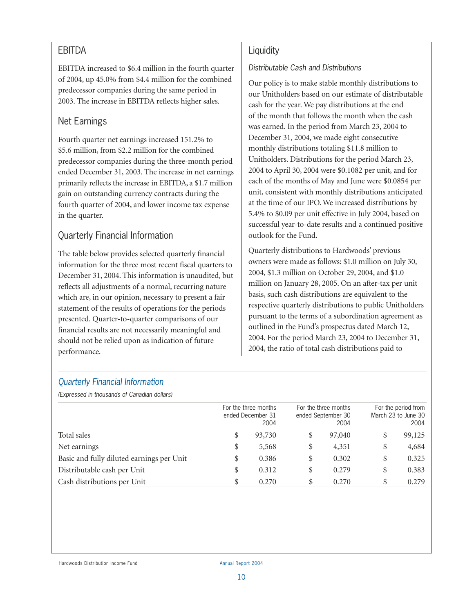### EBITDA

EBITDA increased to \$6.4 million in the fourth quarter of 2004, up 45.0% from \$4.4 million for the combined predecessor companies during the same period in 2003. The increase in EBITDA reflects higher sales.

# Net Earnings

Fourth quarter net earnings increased 151.2% to \$5.6 million, from \$2.2 million for the combined predecessor companies during the three-month period ended December 31, 2003. The increase in net earnings primarily reflects the increase in EBITDA, a \$1.7 million gain on outstanding currency contracts during the fourth quarter of 2004, and lower income tax expense in the quarter.

# Quarterly Financial Information

The table below provides selected quarterly financial information for the three most recent fiscal quarters to December 31, 2004. This information is unaudited, but reflects all adjustments of a normal, recurring nature which are, in our opinion, necessary to present a fair statement of the results of operations for the periods presented. Quarter-to-quarter comparisons of our financial results are not necessarily meaningful and should not be relied upon as indication of future performance.

### **Liquidity**

### *Distributable Cash and Distributions*

Our policy is to make stable monthly distributions to our Unitholders based on our estimate of distributable cash for the year. We pay distributions at the end of the month that follows the month when the cash was earned. In the period from March 23, 2004 to December 31, 2004, we made eight consecutive monthly distributions totaling \$11.8 million to Unitholders. Distributions for the period March 23, 2004 to April 30, 2004 were \$0.1082 per unit, and for each of the months of May and June were \$0.0854 per unit, consistent with monthly distributions anticipated at the time of our IPO. We increased distributions by 5.4% to \$0.09 per unit effective in July 2004, based on successful year-to-date results and a continued positive outlook for the Fund.

Quarterly distributions to Hardwoods' previous owners were made as follows: \$1.0 million on July 30, 2004, \$1.3 million on October 29, 2004, and \$1.0 million on January 28, 2005. On an after-tax per unit basis, such cash distributions are equivalent to the respective quarterly distributions to public Unitholders pursuant to the terms of a subordination agreement as outlined in the Fund's prospectus dated March 12, 2004. For the period March 23, 2004 to December 31, 2004, the ratio of total cash distributions paid to

### *Quarterly Financial Information*

*(Expressed in thousands of Canadian dollars)*

|                                           | For the three months<br>ended December 31<br>2004 |    | For the three months<br>ended September 30<br>2004 | For the period from<br>March 23 to June 30<br>2004 |        |  |
|-------------------------------------------|---------------------------------------------------|----|----------------------------------------------------|----------------------------------------------------|--------|--|
| Total sales                               | \$<br>93,730                                      | \$ | 97,040                                             | \$                                                 | 99,125 |  |
| Net earnings                              | \$<br>5,568                                       | \$ | 4,351                                              | \$                                                 | 4,684  |  |
| Basic and fully diluted earnings per Unit | \$<br>0.386                                       | \$ | 0.302                                              | \$                                                 | 0.325  |  |
| Distributable cash per Unit               | \$<br>0.312                                       | \$ | 0.279                                              | \$                                                 | 0.383  |  |
| Cash distributions per Unit               | \$<br>0.270                                       |    | 0.270                                              | \$                                                 | 0.279  |  |

Hardwoods Distribution Income Fund Annual Report 2004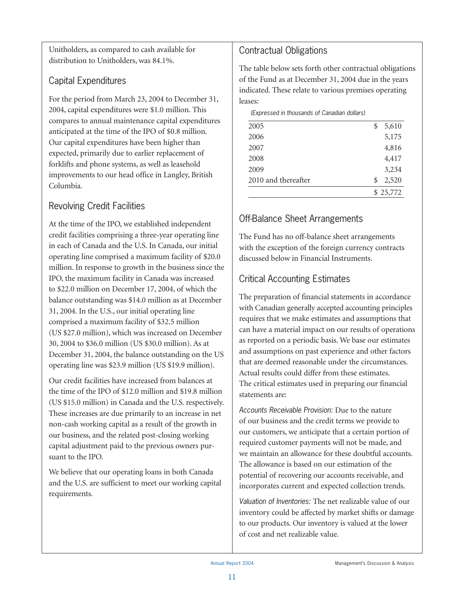Unitholders, as compared to cash available for distribution to Unitholders, was 84.1%.

# Capital Expenditures

For the period from March 23, 2004 to December 31, 2004, capital expenditures were \$1.0 million. This compares to annual maintenance capital expenditures anticipated at the time of the IPO of \$0.8 million. Our capital expenditures have been higher than expected, primarily due to earlier replacement of forklifts and phone systems, as well as leasehold improvements to our head office in Langley, British Columbia.

# Revolving Credit Facilities

At the time of the IPO, we established independent credit facilities comprising a three-year operating line in each of Canada and the U.S. In Canada, our initial operating line comprised a maximum facility of \$20.0 million. In response to growth in the business since the IPO, the maximum facility in Canada was increased to \$22.0 million on December 17, 2004, of which the balance outstanding was \$14.0 million as at December 31, 2004. In the U.S., our initial operating line comprised a maximum facility of \$32.5 million (US \$27.0 million), which was increased on December 30, 2004 to \$36.0 million (US \$30.0 million). As at December 31, 2004, the balance outstanding on the US operating line was \$23.9 million (US \$19.9 million).

Our credit facilities have increased from balances at the time of the IPO of \$12.0 million and \$19.8 million (US \$15.0 million) in Canada and the U.S. respectively. These increases are due primarily to an increase in net non-cash working capital as a result of the growth in our business, and the related post-closing working capital adjustment paid to the previous owners pursuant to the IPO.

We believe that our operating loans in both Canada and the U.S. are sufficient to meet our working capital requirements.

# Contractual Obligations

The table below sets forth other contractual obligations of the Fund as at December 31, 2004 due in the years indicated. These relate to various premises operating leases:

*(Expressed in thousands of Canadian dollars)*

| 2005                | \$<br>5,610 |
|---------------------|-------------|
| 2006                | 5,175       |
| 2007                | 4,816       |
| 2008                | 4,417       |
| 2009                | 3,234       |
| 2010 and thereafter | \$<br>2,520 |
|                     | \$25,772    |
|                     |             |

# Off-Balance Sheet Arrangements

The Fund has no off-balance sheet arrangements with the exception of the foreign currency contracts discussed below in Financial Instruments.

# Critical Accounting Estimates

The preparation of financial statements in accordance with Canadian generally accepted accounting principles requires that we make estimates and assumptions that can have a material impact on our results of operations as reported on a periodic basis. We base our estimates and assumptions on past experience and other factors that are deemed reasonable under the circumstances. Actual results could differ from these estimates. The critical estimates used in preparing our financial statements are:

*Accounts Receivable Provision:* Due to the nature of our business and the credit terms we provide to our customers, we anticipate that a certain portion of required customer payments will not be made, and we maintain an allowance for these doubtful accounts. The allowance is based on our estimation of the potential of recovering our accounts receivable, and incorporates current and expected collection trends.

*Valuation of Inventories:* The net realizable value of our inventory could be affected by market shifts or damage to our products. Our inventory is valued at the lower of cost and net realizable value.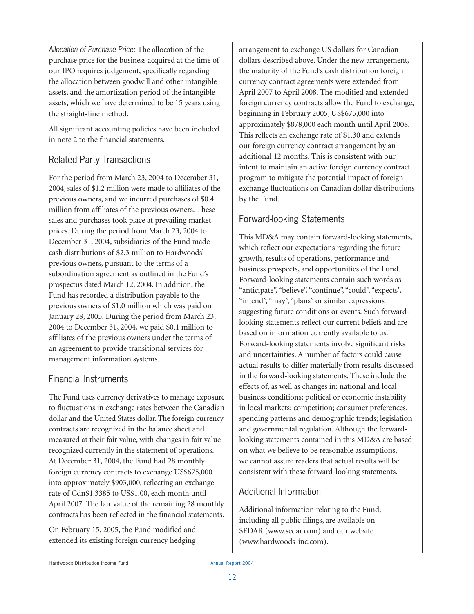*Allocation of Purchase Price:* The allocation of the purchase price for the business acquired at the time of our IPO requires judgement, specifically regarding the allocation between goodwill and other intangible assets, and the amortization period of the intangible assets, which we have determined to be 15 years using the straight-line method.

All significant accounting policies have been included in note 2 to the financial statements.

# Related Party Transactions

For the period from March 23, 2004 to December 31, 2004, sales of \$1.2 million were made to affiliates of the previous owners, and we incurred purchases of \$0.4 million from affiliates of the previous owners. These sales and purchases took place at prevailing market prices. During the period from March 23, 2004 to December 31, 2004, subsidiaries of the Fund made cash distributions of \$2.3 million to Hardwoods' previous owners, pursuant to the terms of a subordination agreement as outlined in the Fund's prospectus dated March 12, 2004. In addition, the Fund has recorded a distribution payable to the previous owners of \$1.0 million which was paid on January 28, 2005. During the period from March 23, 2004 to December 31, 2004, we paid \$0.1 million to affiliates of the previous owners under the terms of an agreement to provide transitional services for management information systems.

# Financial Instruments

The Fund uses currency derivatives to manage exposure to fluctuations in exchange rates between the Canadian dollar and the United States dollar. The foreign currency contracts are recognized in the balance sheet and measured at their fair value, with changes in fair value recognized currently in the statement of operations. At December 31, 2004, the Fund had 28 monthly foreign currency contracts to exchange US\$675,000 into approximately \$903,000, reflecting an exchange rate of Cdn\$1.3385 to US\$1.00, each month until April 2007. The fair value of the remaining 28 monthly contracts has been reflected in the financial statements.

On February 15, 2005, the Fund modified and extended its existing foreign currency hedging arrangement to exchange US dollars for Canadian dollars described above. Under the new arrangement, the maturity of the Fund's cash distribution foreign currency contract agreements were extended from April 2007 to April 2008. The modified and extended foreign currency contracts allow the Fund to exchange, beginning in February 2005, US\$675,000 into approximately \$878,000 each month until April 2008. This reflects an exchange rate of \$1.30 and extends our foreign currency contract arrangement by an additional 12 months. This is consistent with our intent to maintain an active foreign currency contract program to mitigate the potential impact of foreign exchange fluctuations on Canadian dollar distributions by the Fund.

# Forward-looking Statements

This MD&A may contain forward-looking statements, which reflect our expectations regarding the future growth, results of operations, performance and business prospects, and opportunities of the Fund. Forward-looking statements contain such words as "anticipate", "believe", "continue", "could", "expects", "intend", "may", "plans" or similar expressions suggesting future conditions or events. Such forwardlooking statements reflect our current beliefs and are based on information currently available to us. Forward-looking statements involve significant risks and uncertainties. A number of factors could cause actual results to differ materially from results discussed in the forward-looking statements. These include the effects of, as well as changes in: national and local business conditions; political or economic instability in local markets; competition; consumer preferences, spending patterns and demographic trends; legislation and governmental regulation. Although the forwardlooking statements contained in this MD&A are based on what we believe to be reasonable assumptions, we cannot assure readers that actual results will be consistent with these forward-looking statements.

# Additional Information

Additional information relating to the Fund, including all public filings, are available on SEDAR (www.sedar.com) and our website (www.hardwoods-inc.com).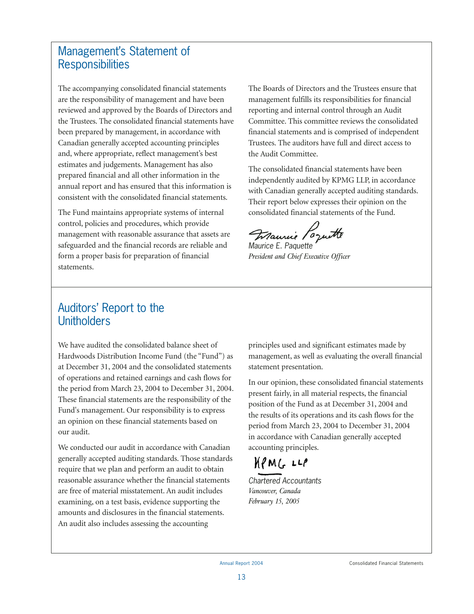# Management's Statement of **Responsibilities**

The accompanying consolidated financial statements are the responsibility of management and have been reviewed and approved by the Boards of Directors and the Trustees. The consolidated financial statements have been prepared by management, in accordance with Canadian generally accepted accounting principles and, where appropriate, reflect management's best estimates and judgements. Management has also prepared financial and all other information in the annual report and has ensured that this information is consistent with the consolidated financial statements.

The Fund maintains appropriate systems of internal control, policies and procedures, which provide management with reasonable assurance that assets are safeguarded and the financial records are reliable and form a proper basis for preparation of financial statements.

The Boards of Directors and the Trustees ensure that management fulfills its responsibilities for financial reporting and internal control through an Audit Committee. This committee reviews the consolidated financial statements and is comprised of independent Trustees. The auditors have full and direct access to the Audit Committee.

The consolidated financial statements have been independently audited by KPMG LLP, in accordance with Canadian generally accepted auditing standards. Their report below expresses their opinion on the consolidated financial statements of the Fund.

Maurie Poquette

*Maurice E. Paquette President and Chief Executive Officer*

# Auditors' Report to the **Unitholders**

We have audited the consolidated balance sheet of Hardwoods Distribution Income Fund (the "Fund") as at December 31, 2004 and the consolidated statements of operations and retained earnings and cash flows for the period from March 23, 2004 to December 31, 2004. These financial statements are the responsibility of the Fund's management. Our responsibility is to express an opinion on these financial statements based on our audit.

We conducted our audit in accordance with Canadian generally accepted auditing standards. Those standards require that we plan and perform an audit to obtain reasonable assurance whether the financial statements are free of material misstatement. An audit includes examining, on a test basis, evidence supporting the amounts and disclosures in the financial statements. An audit also includes assessing the accounting

principles used and significant estimates made by management, as well as evaluating the overall financial statement presentation.

In our opinion, these consolidated financial statements present fairly, in all material respects, the financial position of the Fund as at December 31, 2004 and the results of its operations and its cash flows for the period from March 23, 2004 to December 31, 2004 in accordance with Canadian generally accepted accounting principles.

# $MPMG LLP$

*Chartered Accountants Vancouver, Canada February 15, 2005*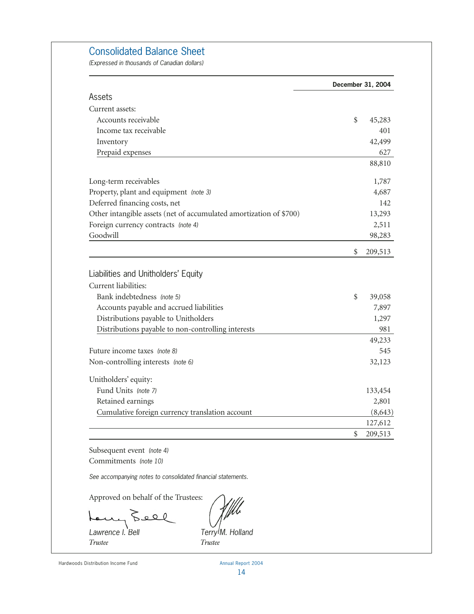### Consolidated Balance Sheet

*(Expressed in thousands of Canadian dollars)*

|                                                                    | December 31, 2004 |
|--------------------------------------------------------------------|-------------------|
| Assets                                                             |                   |
| Current assets:                                                    |                   |
| Accounts receivable                                                | \$<br>45,283      |
| Income tax receivable                                              | 401               |
| Inventory                                                          | 42,499            |
| Prepaid expenses                                                   | 627               |
|                                                                    | 88,810            |
| Long-term receivables                                              | 1,787             |
| Property, plant and equipment (note 3)                             | 4,687             |
| Deferred financing costs, net                                      | 142               |
| Other intangible assets (net of accumulated amortization of \$700) | 13,293            |
| Foreign currency contracts (note 4)                                | 2,511             |
| Goodwill                                                           | 98,283            |
|                                                                    | \$<br>209,513     |
| Liabilities and Unitholders' Equity                                |                   |
| Current liabilities:                                               |                   |
| Bank indebtedness (note 5)                                         | \$<br>39,058      |
| Accounts payable and accrued liabilities                           | 7,897             |
| Distributions payable to Unitholders                               | 1,297             |
| Distributions payable to non-controlling interests                 | 981               |
|                                                                    | 49,233            |
| Future income taxes (note 8)                                       | 545               |
| Non-controlling interests (note 6)                                 | 32,123            |
| Unitholders' equity:                                               |                   |
| Fund Units (note 7)                                                | 133,454           |
| Retained earnings                                                  | 2,801             |
| Cumulative foreign currency translation account                    | (8, 643)          |
|                                                                    | 127,612           |
|                                                                    | \$<br>209,513     |

Subsequent event *(note 4)* Commitments *(note 10)*

*See accompanying notes to consolidated financial statements.*

Approved on behalf of the Trustees:

my Leel

*Trustee Trustee*

*Lawrence I. Bell Terry M. Holland*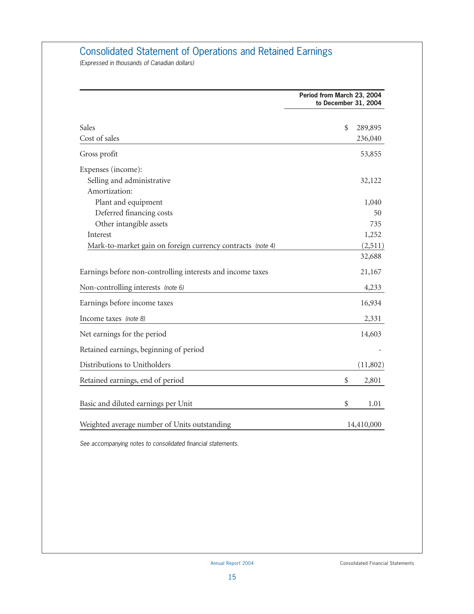# Consolidated Statement of Operations and Retained Earnings

*(Expressed in thousands of Canadian dollars)*

|                                                            | Period from March 23, 2004<br>to December 31, 2004 |            |  |  |  |
|------------------------------------------------------------|----------------------------------------------------|------------|--|--|--|
| <b>Sales</b>                                               | \$                                                 | 289,895    |  |  |  |
| Cost of sales                                              |                                                    | 236,040    |  |  |  |
| Gross profit                                               |                                                    | 53,855     |  |  |  |
| Expenses (income):                                         |                                                    |            |  |  |  |
| Selling and administrative                                 |                                                    | 32,122     |  |  |  |
| Amortization:                                              |                                                    |            |  |  |  |
| Plant and equipment                                        |                                                    | 1,040      |  |  |  |
| Deferred financing costs                                   |                                                    | 50         |  |  |  |
| Other intangible assets                                    |                                                    | 735        |  |  |  |
| Interest                                                   |                                                    | 1,252      |  |  |  |
| Mark-to-market gain on foreign currency contracts (note 4) |                                                    | (2,511)    |  |  |  |
|                                                            |                                                    | 32,688     |  |  |  |
| Earnings before non-controlling interests and income taxes |                                                    | 21,167     |  |  |  |
| Non-controlling interests (note 6)                         |                                                    | 4,233      |  |  |  |
| Earnings before income taxes                               |                                                    | 16,934     |  |  |  |
| Income taxes (note 8)                                      |                                                    | 2,331      |  |  |  |
| Net earnings for the period                                |                                                    | 14,603     |  |  |  |
| Retained earnings, beginning of period                     |                                                    |            |  |  |  |
| Distributions to Unitholders                               |                                                    | (11,802)   |  |  |  |
| Retained earnings, end of period                           | \$                                                 | 2,801      |  |  |  |
| Basic and diluted earnings per Unit                        | \$                                                 | 1.01       |  |  |  |
| Weighted average number of Units outstanding               |                                                    | 14,410,000 |  |  |  |

*See accompanying notes to consolidated financial statements.*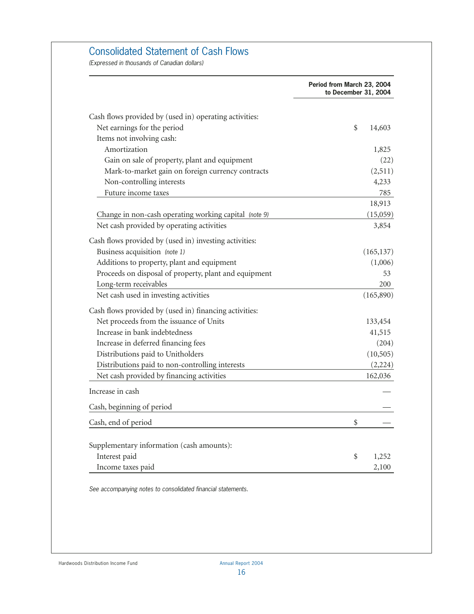# Consolidated Statement of Cash Flows

*(Expressed in thousands of Canadian dollars)*

|                                                        | Period from March 23, 2004<br>to December 31, 2004 |
|--------------------------------------------------------|----------------------------------------------------|
| Cash flows provided by (used in) operating activities: |                                                    |
| Net earnings for the period                            | \$<br>14,603                                       |
| Items not involving cash:                              |                                                    |
| Amortization                                           | 1,825                                              |
| Gain on sale of property, plant and equipment          | (22)                                               |
| Mark-to-market gain on foreign currency contracts      | (2,511)                                            |
| Non-controlling interests                              | 4,233                                              |
| Future income taxes                                    | 785                                                |
|                                                        | 18,913                                             |
| Change in non-cash operating working capital (note 9)  | (15,059)                                           |
| Net cash provided by operating activities              | 3,854                                              |
| Cash flows provided by (used in) investing activities: |                                                    |
| Business acquisition (note 1)                          | (165, 137)                                         |
| Additions to property, plant and equipment             | (1,006)                                            |
| Proceeds on disposal of property, plant and equipment  | 53                                                 |
| Long-term receivables                                  | 200                                                |
| Net cash used in investing activities                  | (165, 890)                                         |
| Cash flows provided by (used in) financing activities: |                                                    |
| Net proceeds from the issuance of Units                | 133,454                                            |
| Increase in bank indebtedness                          | 41,515                                             |
| Increase in deferred financing fees                    | (204)                                              |
| Distributions paid to Unitholders                      | (10, 505)                                          |
| Distributions paid to non-controlling interests        | (2,224)                                            |
| Net cash provided by financing activities              | 162,036                                            |
| Increase in cash                                       |                                                    |
| Cash, beginning of period                              |                                                    |
| Cash, end of period                                    | \$                                                 |
| Supplementary information (cash amounts):              |                                                    |
| Interest paid                                          | \$<br>1,252                                        |
|                                                        | 2,100                                              |
| Income taxes paid                                      |                                                    |

*See accompanying notes to consolidated financial statements.*

Hardwoods Distribution Income Fund Annual Report 2004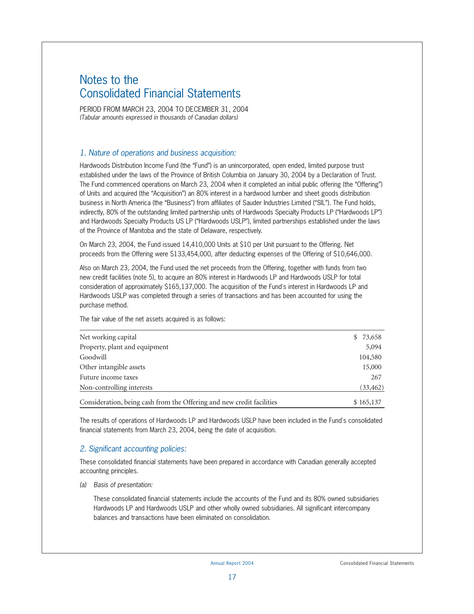# Notes to the Consolidated Financial Statements

PERIOD FROM MARCH 23, 2004 TO DECEMBER 31, 2004 *(Tabular amounts expressed in thousands of Canadian dollars)*

#### *1. Nature of operations and business acquisition:*

Hardwoods Distribution Income Fund (the "Fund") is an unincorporated, open ended, limited purpose trust established under the laws of the Province of British Columbia on January 30, 2004 by a Declaration of Trust. The Fund commenced operations on March 23, 2004 when it completed an initial public offering (the "Offering") of Units and acquired (the "Acquisition") an 80% interest in a hardwood lumber and sheet goods distribution business in North America (the "Business") from affiliates of Sauder Industries Limited ("SIL"). The Fund holds, indirectly, 80% of the outstanding limited partnership units of Hardwoods Specialty Products LP ("Hardwoods LP") and Hardwoods Specialty Products US LP ("Hardwoods USLP"), limited partnerships established under the laws of the Province of Manitoba and the state of Delaware, respectively.

On March 23, 2004, the Fund issued 14,410,000 Units at \$10 per Unit pursuant to the Offering. Net proceeds from the Offering were \$133,454,000, after deducting expenses of the Offering of \$10,646,000.

Also on March 23, 2004, the Fund used the net proceeds from the Offering, together with funds from two new credit facilities (note 5), to acquire an 80% interest in Hardwoods LP and Hardwoods USLP for total consideration of approximately \$165,137,000. The acquisition of the Fund's interest in Hardwoods LP and Hardwoods USLP was completed through a series of transactions and has been accounted for using the purchase method.

The fair value of the net assets acquired is as follows:

| Net working capital                                                   | \$ 73,658 |
|-----------------------------------------------------------------------|-----------|
| Property, plant and equipment                                         | 5,094     |
| Goodwill                                                              | 104,580   |
| Other intangible assets                                               | 15,000    |
| Future income taxes                                                   | 267       |
| Non-controlling interests                                             | (33, 462) |
| Consideration, being cash from the Offering and new credit facilities | \$165,137 |

The results of operations of Hardwoods LP and Hardwoods USLP have been included in the Fund's consolidated financial statements from March 23, 2004, being the date of acquisition.

#### *2. Significant accounting policies:*

These consolidated financial statements have been prepared in accordance with Canadian generally accepted accounting principles.

*(a) Basis of presentation:*

These consolidated financial statements include the accounts of the Fund and its 80% owned subsidiaries Hardwoods LP and Hardwoods USLP and other wholly owned subsidiaries. All significant intercompany balances and transactions have been eliminated on consolidation.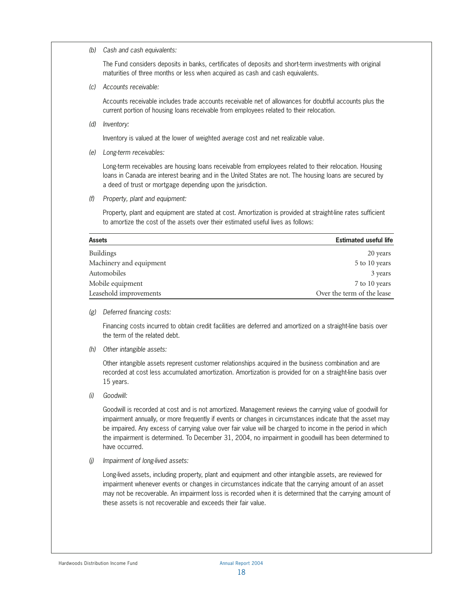*(b) Cash and cash equivalents:*

The Fund considers deposits in banks, certificates of deposits and short-term investments with original maturities of three months or less when acquired as cash and cash equivalents.

*(c) Accounts receivable:*

Accounts receivable includes trade accounts receivable net of allowances for doubtful accounts plus the current portion of housing loans receivable from employees related to their relocation.

*(d) Inventory:*

Inventory is valued at the lower of weighted average cost and net realizable value.

*(e) Long-term receivables:*

Long-term receivables are housing loans receivable from employees related to their relocation. Housing loans in Canada are interest bearing and in the United States are not. The housing loans are secured by a deed of trust or mortgage depending upon the jurisdiction.

*(f) Property, plant and equipment:*

Property, plant and equipment are stated at cost. Amortization is provided at straight-line rates sufficient to amortize the cost of the assets over their estimated useful lives as follows:

| <b>Assets</b>           | <b>Estimated useful life</b> |
|-------------------------|------------------------------|
| <b>Buildings</b>        | 20 years                     |
| Machinery and equipment | 5 to 10 years                |
| Automobiles             | 3 years                      |
| Mobile equipment        | 7 to 10 years                |
| Leasehold improvements  | Over the term of the lease   |

*(g) Deferred financing costs:*

Financing costs incurred to obtain credit facilities are deferred and amortized on a straight-line basis over the term of the related debt.

*(h) Other intangible assets:*

Other intangible assets represent customer relationships acquired in the business combination and are recorded at cost less accumulated amortization. Amortization is provided for on a straight-line basis over 15 years.

*(i) Goodwill:*

Goodwill is recorded at cost and is not amortized. Management reviews the carrying value of goodwill for impairment annually, or more frequently if events or changes in circumstances indicate that the asset may be impaired. Any excess of carrying value over fair value will be charged to income in the period in which the impairment is determined. To December 31, 2004, no impairment in goodwill has been determined to have occurred.

*(j) Impairment of long-lived assets:*

Long-lived assets, including property, plant and equipment and other intangible assets, are reviewed for impairment whenever events or changes in circumstances indicate that the carrying amount of an asset may not be recoverable. An impairment loss is recorded when it is determined that the carrying amount of these assets is not recoverable and exceeds their fair value.

Hardwoods Distribution Income Fund Annual Report 2004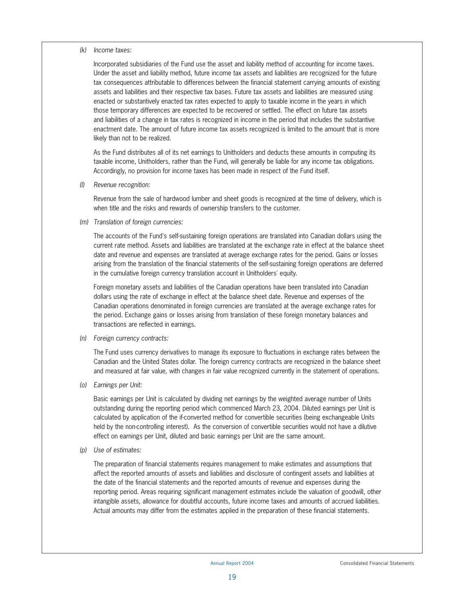#### *(k) Income taxes:*

Incorporated subsidiaries of the Fund use the asset and liability method of accounting for income taxes. Under the asset and liability method, future income tax assets and liabilities are recognized for the future tax consequences attributable to differences between the financial statement carrying amounts of existing assets and liabilities and their respective tax bases. Future tax assets and liabilities are measured using enacted or substantively enacted tax rates expected to apply to taxable income in the years in which those temporary differences are expected to be recovered or settled. The effect on future tax assets and liabilities of a change in tax rates is recognized in income in the period that includes the substantive enactment date. The amount of future income tax assets recognized is limited to the amount that is more likely than not to be realized.

As the Fund distributes all of its net earnings to Unitholders and deducts these amounts in computing its taxable income, Unitholders, rather than the Fund, will generally be liable for any income tax obligations. Accordingly, no provision for income taxes has been made in respect of the Fund itself.

*(l) Revenue recognition:*

Revenue from the sale of hardwood lumber and sheet goods is recognized at the time of delivery, which is when title and the risks and rewards of ownership transfers to the customer.

*(m) Translation of foreign currencies:*

The accounts of the Fund's self-sustaining foreign operations are translated into Canadian dollars using the current rate method. Assets and liabilities are translated at the exchange rate in effect at the balance sheet date and revenue and expenses are translated at average exchange rates for the period. Gains or losses arising from the translation of the financial statements of the self-sustaining foreign operations are deferred in the cumulative foreign currency translation account in Unitholders' equity.

Foreign monetary assets and liabilities of the Canadian operations have been translated into Canadian dollars using the rate of exchange in effect at the balance sheet date. Revenue and expenses of the Canadian operations denominated in foreign currencies are translated at the average exchange rates for the period. Exchange gains or losses arising from translation of these foreign monetary balances and transactions are reflected in earnings.

*(n) Foreign currency contracts:*

The Fund uses currency derivatives to manage its exposure to fluctuations in exchange rates between the Canadian and the United States dollar. The foreign currency contracts are recognized in the balance sheet and measured at fair value, with changes in fair value recognized currently in the statement of operations.

*(o) Earnings per Unit:*

Basic earnings per Unit is calculated by dividing net earnings by the weighted average number of Units outstanding during the reporting period which commenced March 23, 2004. Diluted earnings per Unit is calculated by application of the if-converted method for convertible securities (being exchangeable Units held by the non-controlling interest). As the conversion of convertible securities would not have a dilutive effect on earnings per Unit, diluted and basic earnings per Unit are the same amount.

*(p) Use of estimates:*

The preparation of financial statements requires management to make estimates and assumptions that affect the reported amounts of assets and liabilities and disclosure of contingent assets and liabilities at the date of the financial statements and the reported amounts of revenue and expenses during the reporting period. Areas requiring significant management estimates include the valuation of goodwill, other intangible assets, allowance for doubtful accounts, future income taxes and amounts of accrued liabilities. Actual amounts may differ from the estimates applied in the preparation of these financial statements.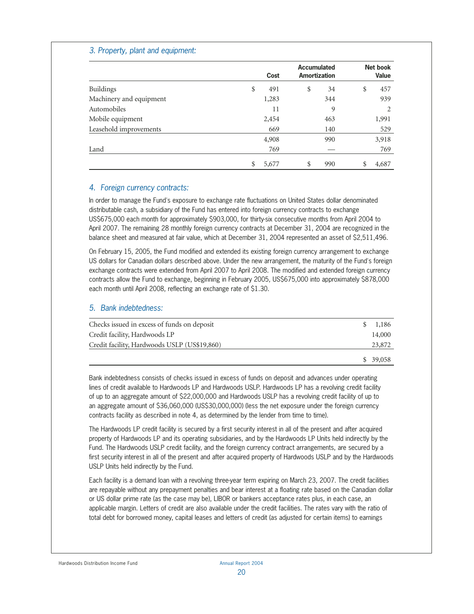#### *3. Property, plant and equipment:*

|                         | Cost        | Accumulated<br>Amortization |     | <b>Net book</b><br>Value |
|-------------------------|-------------|-----------------------------|-----|--------------------------|
| <b>Buildings</b>        | \$<br>491   | \$                          | 34  | \$<br>457                |
| Machinery and equipment | 1,283       |                             | 344 | 939                      |
| Automobiles             | 11          |                             | 9   | 2                        |
| Mobile equipment        | 2,454       |                             | 463 | 1,991                    |
| Leasehold improvements  | 669         |                             | 140 | 529                      |
|                         | 4,908       |                             | 990 | 3,918                    |
| Land                    | 769         |                             |     | 769                      |
|                         | \$<br>5,677 | \$                          | 990 | 4,687                    |

#### *4. Foreign currency contracts:*

In order to manage the Fund's exposure to exchange rate fluctuations on United States dollar denominated distributable cash, a subsidiary of the Fund has entered into foreign currency contracts to exchange US\$675,000 each month for approximately \$903,000, for thirty-six consecutive months from April 2004 to April 2007. The remaining 28 monthly foreign currency contracts at December 31, 2004 are recognized in the balance sheet and measured at fair value, which at December 31, 2004 represented an asset of \$2,511,496.

On February 15, 2005, the Fund modified and extended its existing foreign currency arrangement to exchange US dollars for Canadian dollars described above. Under the new arrangement, the maturity of the Fund's foreign exchange contracts were extended from April 2007 to April 2008. The modified and extended foreign currency contracts allow the Fund to exchange, beginning in February 2005, US\$675,000 into approximately \$878,000 each month until April 2008, reflecting an exchange rate of \$1.30.

#### *5. Bank indebtedness:*

| Checks issued in excess of funds on deposit  | 1,186    |
|----------------------------------------------|----------|
| Credit facility, Hardwoods LP                | 14,000   |
| Credit facility, Hardwoods USLP (US\$19,860) | 23,872   |
|                                              | \$39,058 |

Bank indebtedness consists of checks issued in excess of funds on deposit and advances under operating lines of credit available to Hardwoods LP and Hardwoods USLP. Hardwoods LP has a revolving credit facility of up to an aggregate amount of \$22,000,000 and Hardwoods USLP has a revolving credit facility of up to an aggregate amount of \$36,060,000 (US\$30,000,000) (less the net exposure under the foreign currency contracts facility as described in note 4, as determined by the lender from time to time).

The Hardwoods LP credit facility is secured by a first security interest in all of the present and after acquired property of Hardwoods LP and its operating subsidiaries, and by the Hardwoods LP Units held indirectly by the Fund. The Hardwoods USLP credit facility, and the foreign currency contract arrangements, are secured by a first security interest in all of the present and after acquired property of Hardwoods USLP and by the Hardwoods USLP Units held indirectly by the Fund.

Each facility is a demand loan with a revolving three-year term expiring on March 23, 2007. The credit facilities are repayable without any prepayment penalties and bear interest at a floating rate based on the Canadian dollar or US dollar prime rate (as the case may be), LIBOR or bankers acceptance rates plus, in each case, an applicable margin. Letters of credit are also available under the credit facilities. The rates vary with the ratio of total debt for borrowed money, capital leases and letters of credit (as adjusted for certain items) to earnings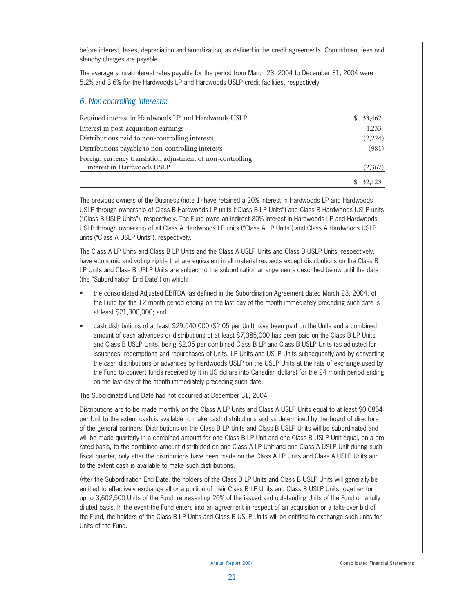before interest, taxes, depreciation and amortization, as defined in the credit agreements. Commitment fees and standby charges are payable.

The average annual interest rates payable for the period from March 23, 2004 to December 31, 2004 were 5.2% and 3.6% for the Hardwoods LP and Hardwoods USLP credit facilities, respectively.

#### *6. Non-controlling interests:*

| Retained interest in Hardwoods LP and Hardwoods USLP       | 33,462<br>SS. |
|------------------------------------------------------------|---------------|
| Interest in post-acquisition earnings                      | 4,233         |
| Distributions paid to non-controlling interests            | (2,224)       |
| Distributions payable to non-controlling interests         | (981)         |
| Foreign currency translation adjustment of non-controlling |               |
| interest in Hardwoods USLP                                 | (2,367)       |
|                                                            | 32,123        |

The previous owners of the Business (note 1) have retained a 20% interest in Hardwoods LP and Hardwoods USLP through ownership of Class B Hardwoods LP units ("Class B LP Units") and Class B Hardwoods USLP units ("Class B USLP Units"), respectively. The Fund owns an indirect 80% interest in Hardwoods LP and Hardwoods USLP through ownership of all Class A Hardwoods LP units ("Class A LP Units") and Class A Hardwoods USLP units ("Class A USLP Units"), respectively.

The Class A LP Units and Class B LP Units and the Class A USLP Units and Class B USLP Units, respectively, have economic and voting rights that are equivalent in all material respects except distributions on the Class B LP Units and Class B USLP Units are subject to the subordination arrangements described below until the date (the "Subordination End Date") on which:

- the consolidated Adjusted EBITDA, as defined in the Subordination Agreement dated March 23, 2004, of the Fund for the 12 month period ending on the last day of the month immediately preceding such date is at least \$21,300,000; and
- cash distributions of at least \$29,540,000 (\$2.05 per Unit) have been paid on the Units and a combined amount of cash advances or distributions of at least \$7,385,000 has been paid on the Class B LP Units and Class B USLP Units, being \$2.05 per combined Class B LP and Class B USLP Units (as adjusted for issuances, redemptions and repurchases of Units, LP Units and USLP Units subsequently and by converting the cash distributions or advances by Hardwoods USLP on the USLP Units at the rate of exchange used by the Fund to convert funds received by it in US dollars into Canadian dollars) for the 24 month period ending on the last day of the month immediately preceding such date.

The Subordinated End Date had not occurred at December 31, 2004.

Distributions are to be made monthly on the Class A LP Units and Class A USLP Units equal to at least \$0.0854 per Unit to the extent cash is available to make cash distributions and as determined by the board of directors of the general partners. Distributions on the Class B LP Units and Class B USLP Units will be subordinated and will be made quarterly in a combined amount for one Class B LP Unit and one Class B USLP Unit equal, on a pro rated basis, to the combined amount distributed on one Class A LP Unit and one Class A USLP Unit during such fiscal quarter, only after the distributions have been made on the Class A LP Units and Class A USLP Units and to the extent cash is available to make such distributions.

After the Subordination End Date, the holders of the Class B LP Units and Class B USLP Units will generally be entitled to effectively exchange all or a portion of their Class B LP Units and Class B USLP Units together for up to 3,602,500 Units of the Fund, representing 20% of the issued and outstanding Units of the Fund on a fully diluted basis. In the event the Fund enters into an agreement in respect of an acquisition or a take-over bid of the Fund, the holders of the Class B LP Units and Class B USLP Units will be entitled to exchange such units for Units of the Fund.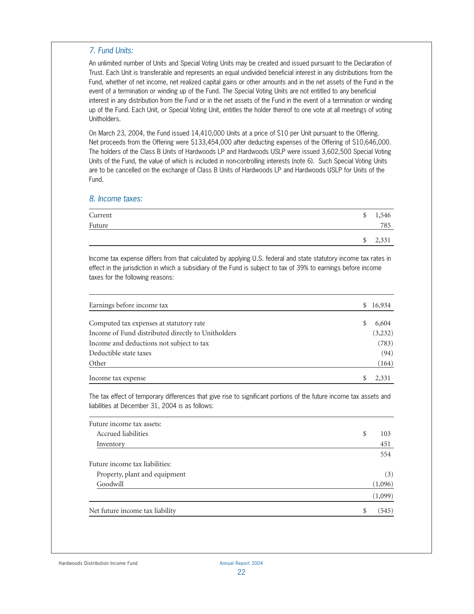#### *7. Fund Units:*

An unlimited number of Units and Special Voting Units may be created and issued pursuant to the Declaration of Trust. Each Unit is transferable and represents an equal undivided beneficial interest in any distributions from the Fund, whether of net income, net realized capital gains or other amounts and in the net assets of the Fund in the event of a termination or winding up of the Fund. The Special Voting Units are not entitled to any beneficial interest in any distribution from the Fund or in the net assets of the Fund in the event of a termination or winding up of the Fund. Each Unit, or Special Voting Unit, entitles the holder thereof to one vote at all meetings of voting Unitholders.

On March 23, 2004, the Fund issued 14,410,000 Units at a price of \$10 per Unit pursuant to the Offering. Net proceeds from the Offering were \$133,454,000 after deducting expenses of the Offering of \$10,646,000. The holders of the Class B Units of Hardwoods LP and Hardwoods USLP were issued 3,602,500 Special Voting Units of the Fund, the value of which is included in non-controlling interests (note 6). Such Special Voting Units are to be cancelled on the exchange of Class B Units of Hardwoods LP and Hardwoods USLP for Units of the Fund.

#### *8. Income taxes:*

| Current | \$<br>1,546 |
|---------|-------------|
| Future  | 785         |
|         | \$<br>2,331 |

Income tax expense differs from that calculated by applying U.S. federal and state statutory income tax rates in effect in the jurisdiction in which a subsidiary of the Fund is subject to tax of 39% to earnings before income taxes for the following reasons:

| Earnings before income tax                         |   | \$16,934 |
|----------------------------------------------------|---|----------|
| Computed tax expenses at statutory rate            | S | 6,604    |
| Income of Fund distributed directly to Unitholders |   | (3, 232) |
| Income and deductions not subject to tax           |   | (783)    |
| Deductible state taxes                             |   | (94)     |
| Other                                              |   | (164)    |
| Income tax expense                                 |   | 2,331    |

The tax effect of temporary differences that give rise to significant portions of the future income tax assets and liabilities at December 31, 2004 is as follows:

| Future income tax assets:       |   |         |
|---------------------------------|---|---------|
| Accrued liabilities             | S | 103     |
| Inventory                       |   | 451     |
|                                 |   | 554     |
| Future income tax liabilities:  |   |         |
| Property, plant and equipment   |   | (3)     |
| Goodwill                        |   | (1,096) |
|                                 |   | (1,099) |
| Net future income tax liability | S | (545)   |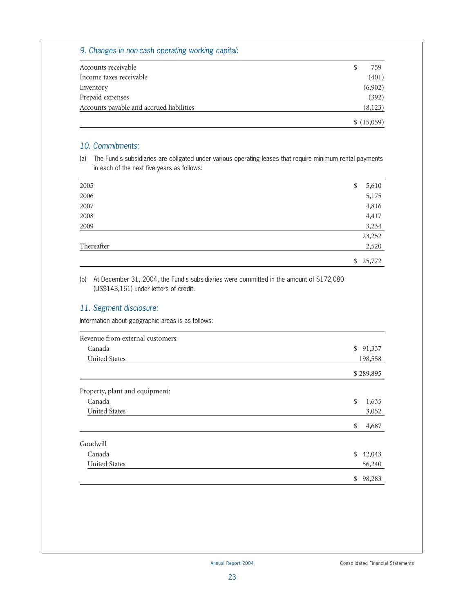#### *9. Changes in non-cash operating working capital:*

| Accounts receivable                      | 759         |
|------------------------------------------|-------------|
| Income taxes receivable                  | (401)       |
| Inventory                                | (6,902)     |
| Prepaid expenses                         | (392)       |
| Accounts payable and accrued liabilities | (8,123)     |
|                                          | \$ (15,059) |

#### *10. Commitments:*

(a) The Fund's subsidiaries are obligated under various operating leases that require minimum rental payments in each of the next five years as follows:

| 2005       | \$<br>5,610 |
|------------|-------------|
| 2006       | 5,175       |
| 2007       | 4,816       |
| 2008       | 4,417       |
| 2009       | 3,234       |
|            | 23,252      |
| Thereafter | 2,520       |
|            | \$25,772    |

#### (b) At December 31, 2004, the Fund's subsidiaries were committed in the amount of \$172,080 (US\$143,161) under letters of credit.

#### *11. Segment disclosure:*

Information about geographic areas is as follows:

| Revenue from external customers: |              |
|----------------------------------|--------------|
| Canada                           | \$91,337     |
| <b>United States</b>             | 198,558      |
|                                  | \$289,895    |
| Property, plant and equipment:   |              |
| Canada                           | \$<br>1,635  |
| <b>United States</b>             | 3,052        |
|                                  | \$<br>4,687  |
| Goodwill                         |              |
| Canada                           | \$<br>42,043 |
| <b>United States</b>             | 56,240       |
|                                  | \$<br>98,283 |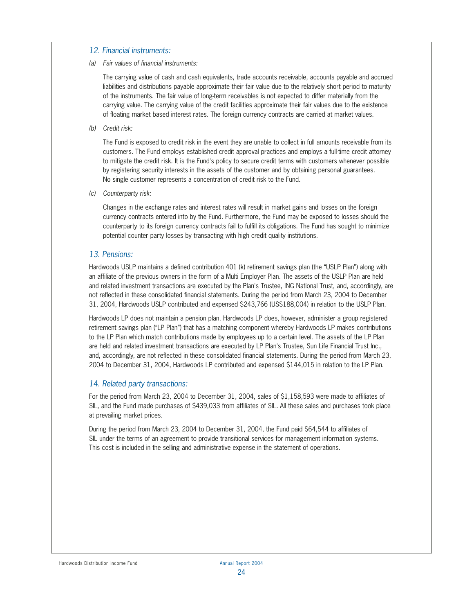#### *12. Financial instruments:*

*(a) Fair values of financial instruments:*

The carrying value of cash and cash equivalents, trade accounts receivable, accounts payable and accrued liabilities and distributions payable approximate their fair value due to the relatively short period to maturity of the instruments. The fair value of long-term receivables is not expected to differ materially from the carrying value. The carrying value of the credit facilities approximate their fair values due to the existence of floating market based interest rates. The foreign currency contracts are carried at market values.

*(b) Credit risk:*

The Fund is exposed to credit risk in the event they are unable to collect in full amounts receivable from its customers. The Fund employs established credit approval practices and employs a full-time credit attorney to mitigate the credit risk. It is the Fund's policy to secure credit terms with customers whenever possible by registering security interests in the assets of the customer and by obtaining personal guarantees. No single customer represents a concentration of credit risk to the Fund.

*(c) Counterparty risk:*

Changes in the exchange rates and interest rates will result in market gains and losses on the foreign currency contracts entered into by the Fund. Furthermore, the Fund may be exposed to losses should the counterparty to its foreign currency contracts fail to fulfill its obligations. The Fund has sought to minimize potential counter party losses by transacting with high credit quality institutions.

#### *13. Pensions:*

Hardwoods USLP maintains a defined contribution 401 (k) retirement savings plan (the "USLP Plan") along with an affiliate of the previous owners in the form of a Multi Employer Plan. The assets of the USLP Plan are held and related investment transactions are executed by the Plan's Trustee, ING National Trust, and, accordingly, are not reflected in these consolidated financial statements. During the period from March 23, 2004 to December 31, 2004, Hardwoods USLP contributed and expensed \$243,766 (US\$188,004) in relation to the USLP Plan.

Hardwoods LP does not maintain a pension plan. Hardwoods LP does, however, administer a group registered retirement savings plan ("LP Plan") that has a matching component whereby Hardwoods LP makes contributions to the LP Plan which match contributions made by employees up to a certain level. The assets of the LP Plan are held and related investment transactions are executed by LP Plan's Trustee, Sun Life Financial Trust Inc., and, accordingly, are not reflected in these consolidated financial statements. During the period from March 23, 2004 to December 31, 2004, Hardwoods LP contributed and expensed \$144,015 in relation to the LP Plan.

#### *14. Related party transactions:*

For the period from March 23, 2004 to December 31, 2004, sales of \$1,158,593 were made to affiliates of SIL, and the Fund made purchases of \$439,033 from affiliates of SIL. All these sales and purchases took place at prevailing market prices.

During the period from March 23, 2004 to December 31, 2004, the Fund paid \$64,544 to affiliates of SIL under the terms of an agreement to provide transitional services for management information systems. This cost is included in the selling and administrative expense in the statement of operations.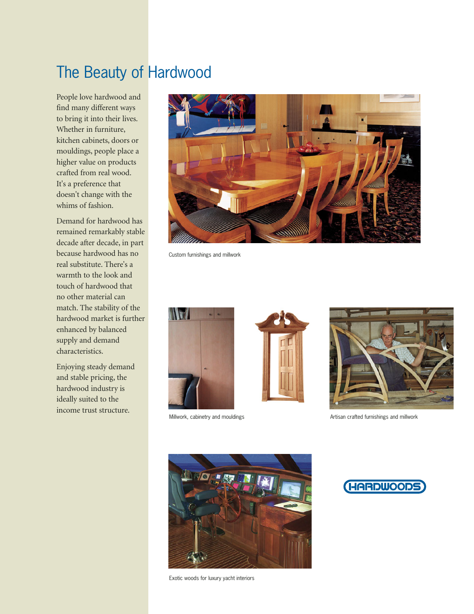# The Beauty of Hardwood

People love hardwood and find many different ways to bring it into their lives. Whether in furniture, kitchen cabinets, doors or mouldings, people place a higher value on products crafted from real wood. It's a preference that doesn't change with the whims of fashion.

Demand for hardwood has remained remarkably stable decade after decade, in part because hardwood has no real substitute. There's a warmth to the look and touch of hardwood that no other material can match. The stability of the hardwood market is further enhanced by balanced supply and demand characteristics.

Enjoying steady demand and stable pricing, the hardwood industry is ideally suited to the income trust structure.



Custom furnishings and millwork





Millwork, cabinetry and mouldings and millwork and millwork Artisan crafted furnishings and millwork



Exotic woods for luxury yacht interiors